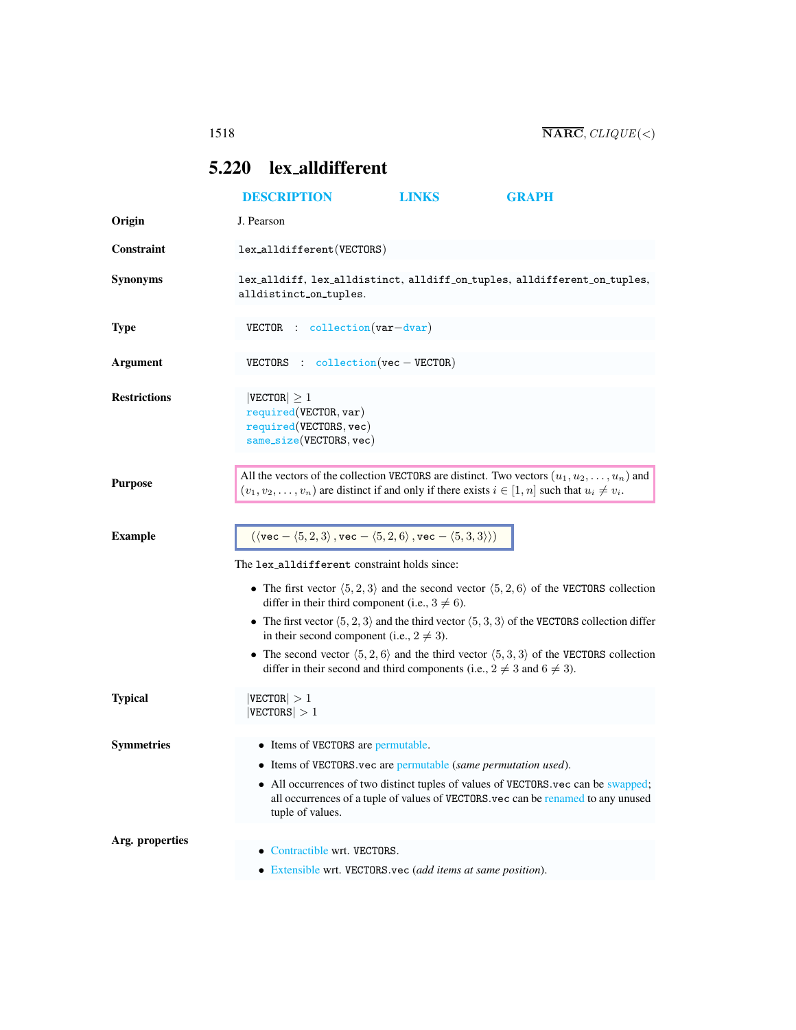## <span id="page-0-0"></span>5.220 lex alldifferent

|                     | <b>DESCRIPTION</b>                                                                                                                                                                                                             | <b>LINKS</b> | <b>GRAPH</b>                                                                                                                                                          |  |
|---------------------|--------------------------------------------------------------------------------------------------------------------------------------------------------------------------------------------------------------------------------|--------------|-----------------------------------------------------------------------------------------------------------------------------------------------------------------------|--|
| Origin              | J. Pearson                                                                                                                                                                                                                     |              |                                                                                                                                                                       |  |
| <b>Constraint</b>   | lex_alldifferent(VECTORS)                                                                                                                                                                                                      |              |                                                                                                                                                                       |  |
| <b>Synonyms</b>     | alldistinct_on_tuples.                                                                                                                                                                                                         |              | lex_alldiff, lex_alldistinct, alldiff_on_tuples, alldifferent_on_tuples,                                                                                              |  |
| <b>Type</b>         | $VECTOR$ : collection $(var-dvar)$                                                                                                                                                                                             |              |                                                                                                                                                                       |  |
| <b>Argument</b>     | VECTORS : $\text{collection}(vec - VECTOR)$                                                                                                                                                                                    |              |                                                                                                                                                                       |  |
| <b>Restrictions</b> | $ {\tt VECTOR}  \geq 1$<br>required(VECTOR, var)<br>required(VECTORS, vec)<br>$same\_size(VECTORS, vec)$                                                                                                                       |              |                                                                                                                                                                       |  |
| <b>Purpose</b>      | $(v_1, v_2, \ldots, v_n)$ are distinct if and only if there exists $i \in [1, n]$ such that $u_i \neq v_i$ .                                                                                                                   |              | All the vectors of the collection VECTORS are distinct. Two vectors $(u_1, u_2, \dots, u_n)$ and                                                                      |  |
| <b>Example</b>      | $(\langle \text{vec} - \langle 5, 2, 3 \rangle, \text{vec} - \langle 5, 2, 6 \rangle, \text{vec} - \langle 5, 3, 3 \rangle))$                                                                                                  |              |                                                                                                                                                                       |  |
|                     | The lex_alldifferent constraint holds since:<br>• The first vector $\langle 5, 2, 3 \rangle$ and the second vector $\langle 5, 2, 6 \rangle$ of the VECTORS collection<br>differ in their third component (i.e., $3 \neq 6$ ). |              |                                                                                                                                                                       |  |
|                     | in their second component (i.e., $2 \neq 3$ ).                                                                                                                                                                                 |              | • The first vector $\langle 5, 2, 3 \rangle$ and the third vector $\langle 5, 3, 3 \rangle$ of the VECTORS collection differ                                          |  |
|                     | differ in their second and third components (i.e., $2 \neq 3$ and $6 \neq 3$ ).                                                                                                                                                |              | • The second vector $(5, 2, 6)$ and the third vector $(5, 3, 3)$ of the VECTORS collection                                                                            |  |
| <b>Typical</b>      | $ {\tt VECTOR}  > 1$<br>$ {\rm VECTORS}  > 1$                                                                                                                                                                                  |              |                                                                                                                                                                       |  |
| <b>Symmetries</b>   | • Items of VECTORS are permutable.<br>• Items of VECTORS vec are permutable (same permutation used).<br>tuple of values.                                                                                                       |              | • All occurrences of two distinct tuples of values of VECTORS vec can be swapped;<br>all occurrences of a tuple of values of VECTORS.vec can be renamed to any unused |  |
| Arg. properties     | • Contractible wrt. VECTORS.                                                                                                                                                                                                   |              |                                                                                                                                                                       |  |
|                     | • Extensible wrt. VECTORS.vec (add items at same position).                                                                                                                                                                    |              |                                                                                                                                                                       |  |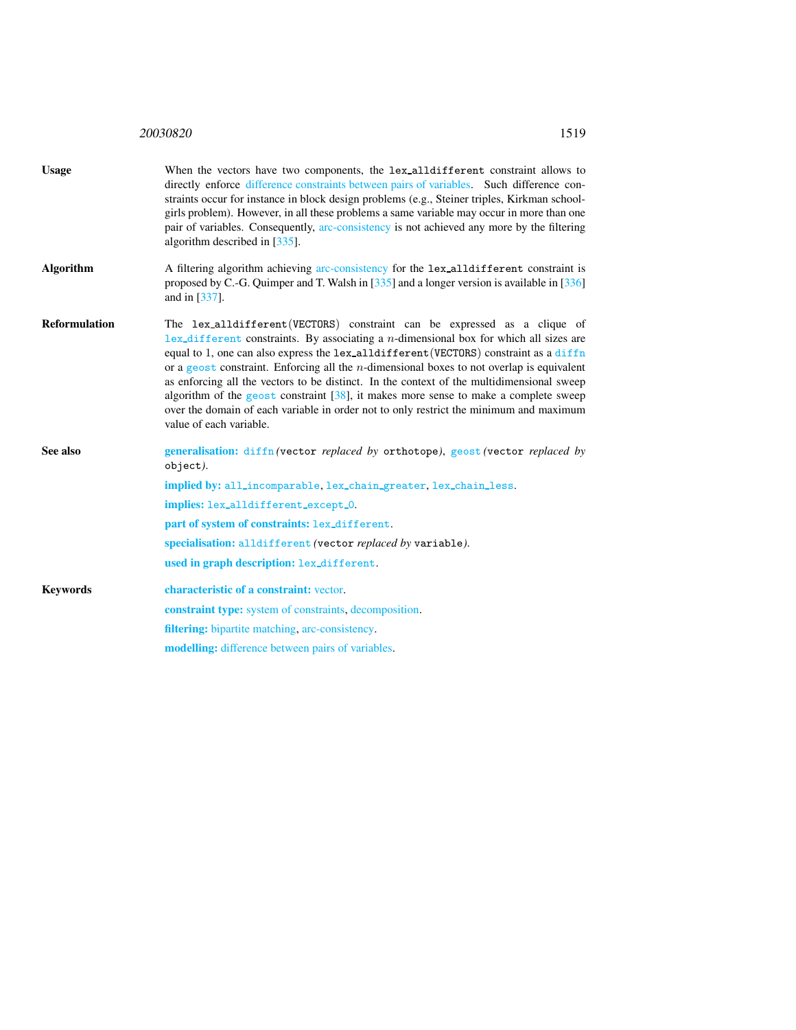<sup>20030820</sup> 1519

<span id="page-1-0"></span>

| <b>Usage</b>         | When the vectors have two components, the lex_alldifferent constraint allows to<br>directly enforce difference constraints between pairs of variables. Such difference con-<br>straints occur for instance in block design problems (e.g., Steiner triples, Kirkman school-<br>girls problem). However, in all these problems a same variable may occur in more than one<br>pair of variables. Consequently, arc-consistency is not achieved any more by the filtering<br>algorithm described in [335].                                                                                                                                                                                 |
|----------------------|-----------------------------------------------------------------------------------------------------------------------------------------------------------------------------------------------------------------------------------------------------------------------------------------------------------------------------------------------------------------------------------------------------------------------------------------------------------------------------------------------------------------------------------------------------------------------------------------------------------------------------------------------------------------------------------------|
| <b>Algorithm</b>     | A filtering algorithm achieving arc-consistency for the lex-alldifferent constraint is<br>proposed by C.-G. Quimper and T. Walsh in $\left[335\right]$ and a longer version is available in $\left[336\right]$<br>and in [337].                                                                                                                                                                                                                                                                                                                                                                                                                                                         |
| <b>Reformulation</b> | The lex_alldifferent(VECTORS) constraint can be expressed as a clique of<br>$lex\_different$ constraints. By associating a <i>n</i> -dimensional box for which all sizes are<br>equal to 1, one can also express the lex_alldifferent (VECTORS) constraint as a diffn<br>or a geost constraint. Enforcing all the <i>n</i> -dimensional boxes to not overlap is equivalent<br>as enforcing all the vectors to be distinct. In the context of the multidimensional sweep<br>algorithm of the geost constraint $[38]$ , it makes more sense to make a complete sweep<br>over the domain of each variable in order not to only restrict the minimum and maximum<br>value of each variable. |
| See also             | generalisation: diffn (vector replaced by orthotope), geost (vector replaced by<br>object).                                                                                                                                                                                                                                                                                                                                                                                                                                                                                                                                                                                             |
|                      | implied by: all_incomparable, lex_chain_greater, lex_chain_less.                                                                                                                                                                                                                                                                                                                                                                                                                                                                                                                                                                                                                        |
|                      | implies: lex_alldifferent_except_0.                                                                                                                                                                                                                                                                                                                                                                                                                                                                                                                                                                                                                                                     |
|                      | part of system of constraints: lex_different.                                                                                                                                                                                                                                                                                                                                                                                                                                                                                                                                                                                                                                           |
|                      | specialisation: alldifferent (vector replaced by variable).                                                                                                                                                                                                                                                                                                                                                                                                                                                                                                                                                                                                                             |
|                      | used in graph description: lex_different.                                                                                                                                                                                                                                                                                                                                                                                                                                                                                                                                                                                                                                               |
| <b>Keywords</b>      | characteristic of a constraint: vector.                                                                                                                                                                                                                                                                                                                                                                                                                                                                                                                                                                                                                                                 |
|                      | <b>constraint type:</b> system of constraints, decomposition.                                                                                                                                                                                                                                                                                                                                                                                                                                                                                                                                                                                                                           |
|                      | filtering: bipartite matching, arc-consistency.                                                                                                                                                                                                                                                                                                                                                                                                                                                                                                                                                                                                                                         |
|                      | modelling: difference between pairs of variables.                                                                                                                                                                                                                                                                                                                                                                                                                                                                                                                                                                                                                                       |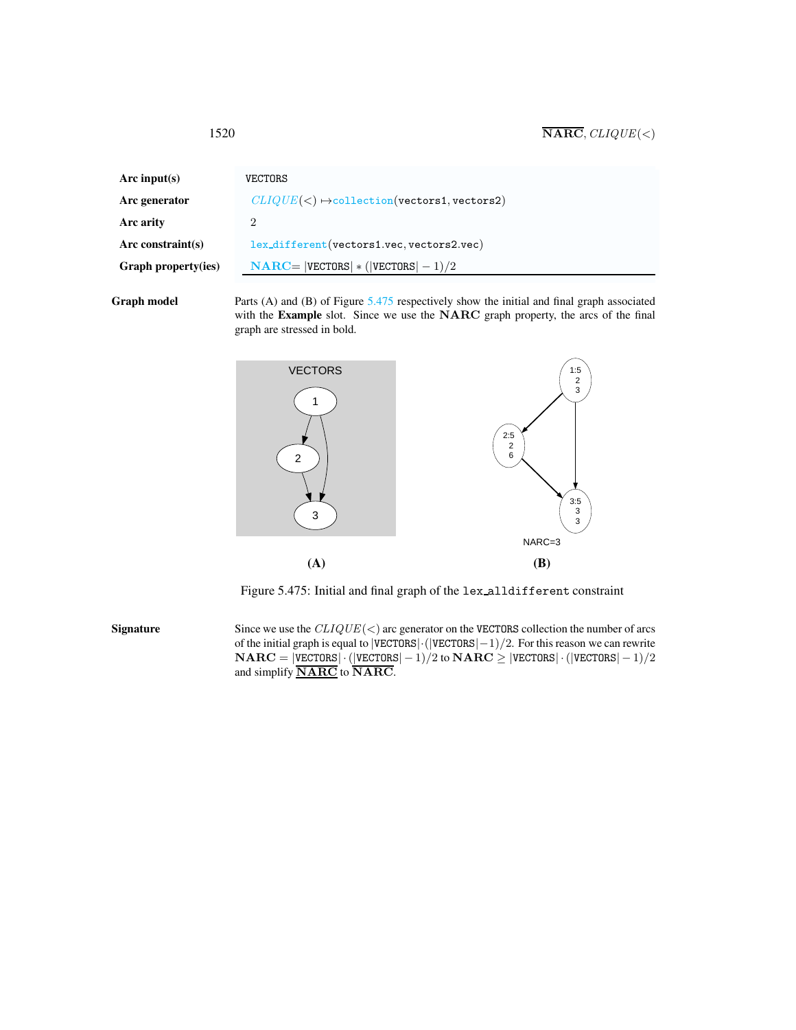<span id="page-2-0"></span>

| Arc input(s)               | VECTORS                                                 |
|----------------------------|---------------------------------------------------------|
| Arc generator              | $CLIQUE(<) \rightarrow collection( vectors1, vectors2)$ |
| Arc arity                  |                                                         |
| Arc constraint(s)          | lex_different(vectors1.vec, vectors2.vec)               |
| <b>Graph property(ies)</b> | $NARC =  VECTORS  * ( VECTORS  - 1)/2$                  |
|                            |                                                         |

Graph model Parts (A) and (B) of Figure [5.475](#page-2-1) respectively show the initial and final graph associated with the Example slot. Since we use the NARC graph property, the arcs of the final graph are stressed in bold.



<span id="page-2-1"></span>Figure 5.475: Initial and final graph of the lex alldifferent constraint

Signature Since we use the  $CLIQUE(<)$  arc generator on the VECTORS collection the number of arcs of the initial graph is equal to |VECTORS|·(|VECTORS|−1)/2. For this reason we can rewrite  $NARC = |VECTORS| \cdot (|VECTORS| - 1)/2$  to  $NARC \ge |VECTORS| \cdot (|VECTORS| - 1)/2$ and simplify **NARC** to **NARC**.